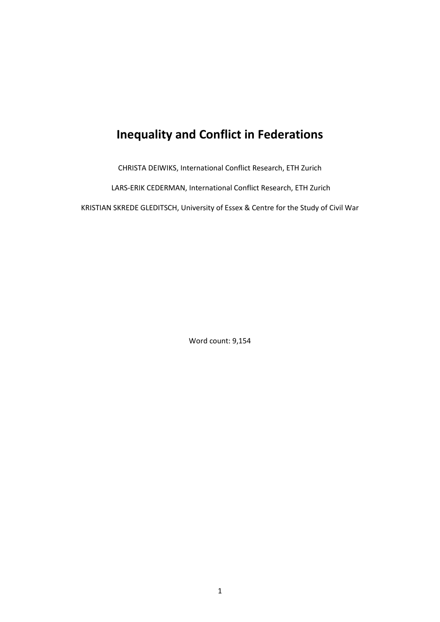# **Inequality and Conflict in Federations**

CHRISTA DEIWIKS, International Conflict Research, ETH Zurich

LARS-ERIK CEDERMAN, International Conflict Research, ETH Zurich

KRISTIAN SKREDE GLEDITSCH, University of Essex & Centre for the Study of Civil War

Word count: 9,154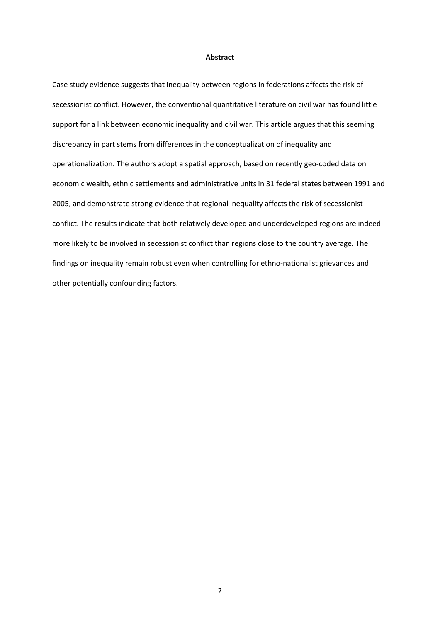#### **Abstract**

Case study evidence suggests that inequality between regions in federations affects the risk of secessionist conflict. However, the conventional quantitative literature on civil war has found little support for a link between economic inequality and civil war. This article argues that this seeming discrepancy in part stems from differences in the conceptualization of inequality and operationalization. The authors adopt a spatial approach, based on recently geo-coded data on economic wealth, ethnic settlements and administrative units in 31 federal states between 1991 and 2005, and demonstrate strong evidence that regional inequality affects the risk of secessionist conflict. The results indicate that both relatively developed and underdeveloped regions are indeed more likely to be involved in secessionist conflict than regions close to the country average. The findings on inequality remain robust even when controlling for ethno-nationalist grievances and other potentially confounding factors.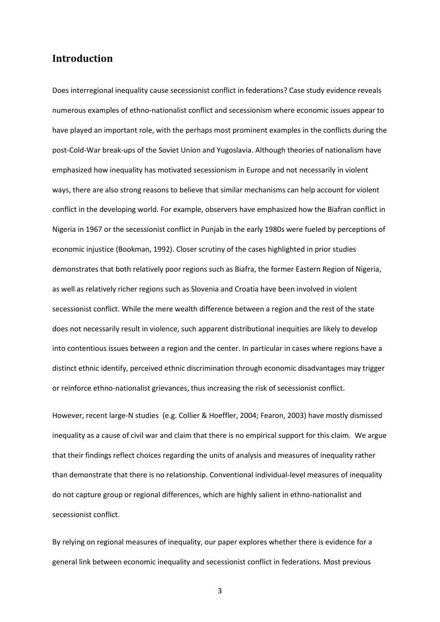## **Introduction**

Does interregional inequality cause secessionist conflict in federations? Case study evidence reveals numerous examples of ethno-nationalist conflict and secessionism where economic issues appear to have played an important role, with the perhaps most prominent examples in the conflicts during the post-Cold-War break-ups of the Soviet Union and Yugoslavia. Although theories of nationalism have emphasized how inequality has motivated secessionism in Europe and not necessarily in violent ways, there are also strong reasons to believe that similar mechanisms can help account for violent conflict in the developing world. For example, observers have emphasized how the Biafran conflict in Nigeria in 1967 or the secessionist conflict in Punjab in the early 1980s were fueled by perceptions of economic injustice (Bookman, 1992). Closer scrutiny of the cases highlighted in prior studies demonstrates that both relatively poor regions such as Biafra, the former Eastern Region of Nigeria, as well as relatively richer regions such as Slovenia and Croatia have been involved in violent secessionist conflict. While the mere wealth difference between a region and the rest of the state does not necessarily result in violence, such apparent distributional inequities are likely to develop into contentious issues between a region and the center. In particular in cases where regions have a distinct ethnic identify, perceived ethnic discrimination through economic disadvantages may trigger or reinforce ethno-nationalist grievances, thus increasing the risk of secessionist conflict.

However, recent large-N studies (e.g. Collier & Hoeffler, 2004; Fearon, 2003) have mostly dismissed inequality as a cause of civil war and claim that there is no empirical support for this claim. We argue that their findings reflect choices regarding the units of analysis and measures of inequality rather than demonstrate that there is no relationship. Conventional individual-level measures of inequality do not capture group or regional differences, which are highly salient in ethno-nationalist and secessionist conflict.

By relying on regional measures of inequality, our paper explores whether there is evidence for a general link between economic inequality and secessionist conflict in federations. Most previous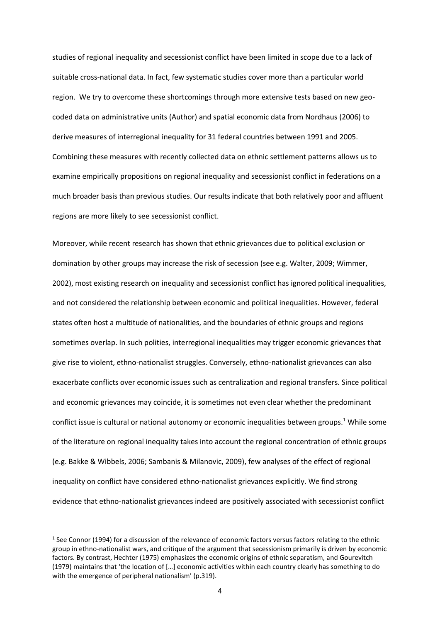studies of regional inequality and secessionist conflict have been limited in scope due to a lack of suitable cross-national data. In fact, few systematic studies cover more than a particular world region. We try to overcome these shortcomings through more extensive tests based on new geocoded data on administrative units (Author) and spatial economic data from Nordhaus (2006) to derive measures of interregional inequality for 31 federal countries between 1991 and 2005. Combining these measures with recently collected data on ethnic settlement patterns allows us to examine empirically propositions on regional inequality and secessionist conflict in federations on a much broader basis than previous studies. Our results indicate that both relatively poor and affluent regions are more likely to see secessionist conflict.

Moreover, while recent research has shown that ethnic grievances due to political exclusion or domination by other groups may increase the risk of secession (see e.g. Walter, 2009; Wimmer, 2002), most existing research on inequality and secessionist conflict has ignored political inequalities, and not considered the relationship between economic and political inequalities. However, federal states often host a multitude of nationalities, and the boundaries of ethnic groups and regions sometimes overlap. In such polities, interregional inequalities may trigger economic grievances that give rise to violent, ethno-nationalist struggles. Conversely, ethno-nationalist grievances can also exacerbate conflicts over economic issues such as centralization and regional transfers. Since political and economic grievances may coincide, it is sometimes not even clear whether the predominant conflict issue is cultural or national autonomy or economic inequalities between groups.<sup>1</sup> While some of the literature on regional inequality takes into account the regional concentration of ethnic groups (e.g. Bakke & Wibbels, 2006; Sambanis & Milanovic, 2009), few analyses of the effect of regional inequality on conflict have considered ethno-nationalist grievances explicitly. We find strong evidence that ethno-nationalist grievances indeed are positively associated with secessionist conflict

**.** 

 $<sup>1</sup>$  See Connor (1994) for a discussion of the relevance of economic factors versus factors relating to the ethnic</sup> group in ethno-nationalist wars, and critique of the argument that secessionism primarily is driven by economic factors. By contrast, Hechter (1975) emphasizes the economic origins of ethnic separatism, and Gourevitch (1979) maintains that 'the location of […] economic activities within each country clearly has something to do with the emergence of peripheral nationalism' (p.319).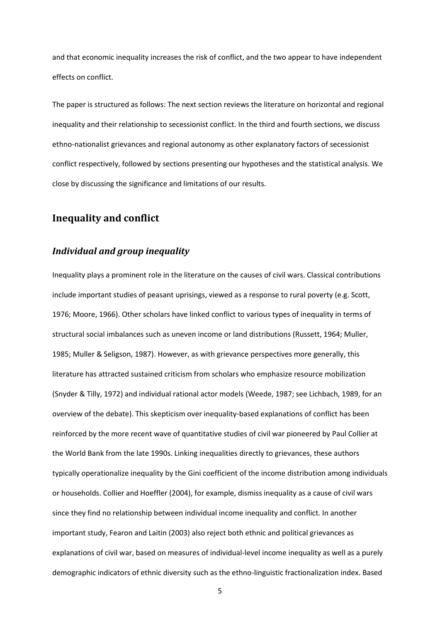and that economic inequality increases the risk of conflict, and the two appear to have independent effects on conflict.

The paper is structured as follows: The next section reviews the literature on horizontal and regional inequality and their relationship to secessionist conflict. In the third and fourth sections, we discuss ethno-nationalist grievances and regional autonomy as other explanatory factors of secessionist conflict respectively, followed by sections presenting our hypotheses and the statistical analysis. We close by discussing the significance and limitations of our results.

### **Inequality and conflict**

### *Individual and group inequality*

Inequality plays a prominent role in the literature on the causes of civil wars. Classical contributions include important studies of peasant uprisings, viewed as a response to rural poverty (e.g. Scott, 1976; Moore, 1966). Other scholars have linked conflict to various types of inequality in terms of structural social imbalances such as uneven income or land distributions (Russett, 1964; Muller, 1985; Muller & Seligson, 1987). However, as with grievance perspectives more generally, this literature has attracted sustained criticism from scholars who emphasize resource mobilization (Snyder & Tilly, 1972) and individual rational actor models (Weede, 1987; see Lichbach, 1989, for an overview of the debate). This skepticism over inequality-based explanations of conflict has been reinforced by the more recent wave of quantitative studies of civil war pioneered by Paul Collier at the World Bank from the late 1990s. Linking inequalities directly to grievances, these authors typically operationalize inequality by the Gini coefficient of the income distribution among individuals or households. Collier and Hoeffler (2004), for example, dismiss inequality as a cause of civil wars since they find no relationship between individual income inequality and conflict. In another important study, Fearon and Laitin (2003) also reject both ethnic and political grievances as explanations of civil war, based on measures of individual-level income inequality as well as a purely demographic indicators of ethnic diversity such as the ethno-linguistic fractionalization index. Based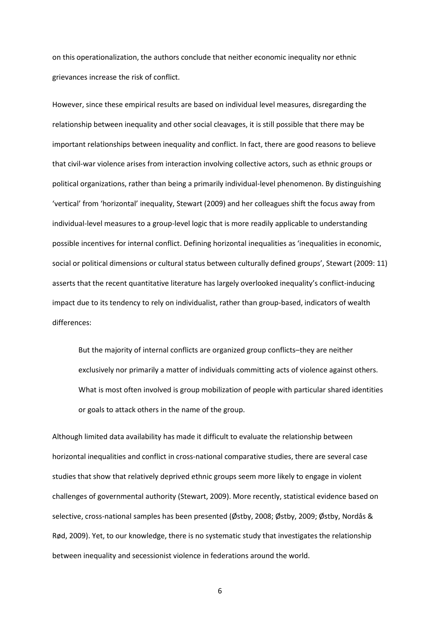on this operationalization, the authors conclude that neither economic inequality nor ethnic grievances increase the risk of conflict.

However, since these empirical results are based on individual level measures, disregarding the relationship between inequality and other social cleavages, it is still possible that there may be important relationships between inequality and conflict. In fact, there are good reasons to believe that civil-war violence arises from interaction involving collective actors, such as ethnic groups or political organizations, rather than being a primarily individual-level phenomenon. By distinguishing 'vertical' from 'horizontal' inequality, Stewart (2009) and her colleagues shift the focus away from individual-level measures to a group-level logic that is more readily applicable to understanding possible incentives for internal conflict. Defining horizontal inequalities as 'inequalities in economic, social or political dimensions or cultural status between culturally defined groups', Stewart (2009: 11) asserts that the recent quantitative literature has largely overlooked inequality's conflict-inducing impact due to its tendency to rely on individualist, rather than group-based, indicators of wealth differences:

But the majority of internal conflicts are organized group conflicts–they are neither exclusively nor primarily a matter of individuals committing acts of violence against others. What is most often involved is group mobilization of people with particular shared identities or goals to attack others in the name of the group.

Although limited data availability has made it difficult to evaluate the relationship between horizontal inequalities and conflict in cross-national comparative studies, there are several case studies that show that relatively deprived ethnic groups seem more likely to engage in violent challenges of governmental authority (Stewart, 2009). More recently, statistical evidence based on selective, cross-national samples has been presented (Østby, 2008; Østby, 2009; Østby, Nordås & Rød, 2009). Yet, to our knowledge, there is no systematic study that investigates the relationship between inequality and secessionist violence in federations around the world.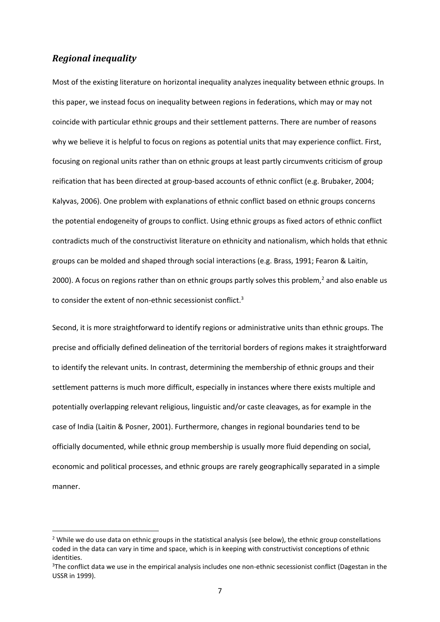### *Regional inequality*

**.** 

Most of the existing literature on horizontal inequality analyzes inequality between ethnic groups. In this paper, we instead focus on inequality between regions in federations, which may or may not coincide with particular ethnic groups and their settlement patterns. There are number of reasons why we believe it is helpful to focus on regions as potential units that may experience conflict. First, focusing on regional units rather than on ethnic groups at least partly circumvents criticism of group reification that has been directed at group-based accounts of ethnic conflict (e.g. Brubaker, 2004; Kalyvas, 2006). One problem with explanations of ethnic conflict based on ethnic groups concerns the potential endogeneity of groups to conflict. Using ethnic groups as fixed actors of ethnic conflict contradicts much of the constructivist literature on ethnicity and nationalism, which holds that ethnic groups can be molded and shaped through social interactions (e.g. Brass, 1991; Fearon & Laitin, 2000). A focus on regions rather than on ethnic groups partly solves this problem,<sup>2</sup> and also enable us to consider the extent of non-ethnic secessionist conflict.<sup>3</sup>

Second, it is more straightforward to identify regions or administrative units than ethnic groups. The precise and officially defined delineation of the territorial borders of regions makes it straightforward to identify the relevant units. In contrast, determining the membership of ethnic groups and their settlement patterns is much more difficult, especially in instances where there exists multiple and potentially overlapping relevant religious, linguistic and/or caste cleavages, as for example in the case of India (Laitin & Posner, 2001). Furthermore, changes in regional boundaries tend to be officially documented, while ethnic group membership is usually more fluid depending on social, economic and political processes, and ethnic groups are rarely geographically separated in a simple manner.

<sup>&</sup>lt;sup>2</sup> While we do use data on ethnic groups in the statistical analysis (see below), the ethnic group constellations coded in the data can vary in time and space, which is in keeping with constructivist conceptions of ethnic identities.

 $3$ The conflict data we use in the empirical analysis includes one non-ethnic secessionist conflict (Dagestan in the USSR in 1999).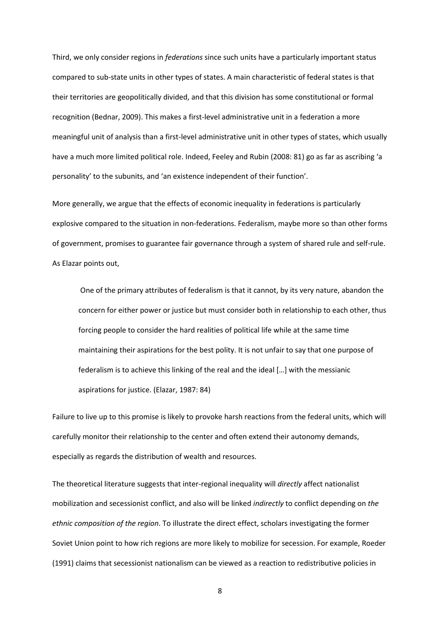Third, we only consider regions in *federations* since such units have a particularly important status compared to sub-state units in other types of states. A main characteristic of federal states is that their territories are geopolitically divided, and that this division has some constitutional or formal recognition (Bednar, 2009). This makes a first-level administrative unit in a federation a more meaningful unit of analysis than a first-level administrative unit in other types of states, which usually have a much more limited political role. Indeed, Feeley and Rubin (2008: 81) go as far as ascribing 'a personality' to the subunits, and 'an existence independent of their function'.

More generally, we argue that the effects of economic inequality in federations is particularly explosive compared to the situation in non-federations. Federalism, maybe more so than other forms of government, promises to guarantee fair governance through a system of shared rule and self-rule. As Elazar points out,

One of the primary attributes of federalism is that it cannot, by its very nature, abandon the concern for either power or justice but must consider both in relationship to each other, thus forcing people to consider the hard realities of political life while at the same time maintaining their aspirations for the best polity. It is not unfair to say that one purpose of federalism is to achieve this linking of the real and the ideal […] with the messianic aspirations for justice. (Elazar, 1987: 84)

Failure to live up to this promise is likely to provoke harsh reactions from the federal units, which will carefully monitor their relationship to the center and often extend their autonomy demands, especially as regards the distribution of wealth and resources.

The theoretical literature suggests that inter-regional inequality will *directly* affect nationalist mobilization and secessionist conflict, and also will be linked *indirectly* to conflict depending on *the ethnic composition of the region*. To illustrate the direct effect, scholars investigating the former Soviet Union point to how rich regions are more likely to mobilize for secession. For example, Roeder (1991) claims that secessionist nationalism can be viewed as a reaction to redistributive policies in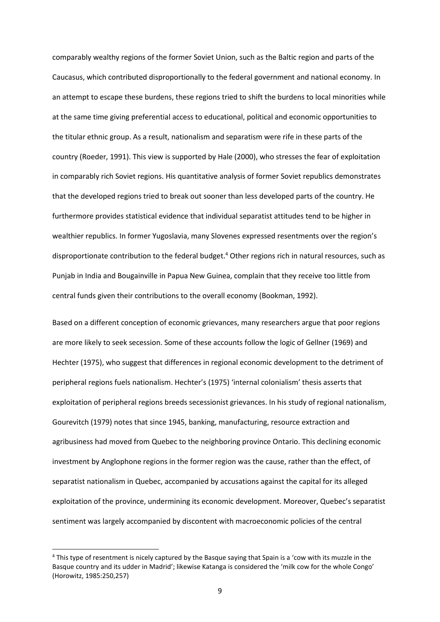comparably wealthy regions of the former Soviet Union, such as the Baltic region and parts of the Caucasus, which contributed disproportionally to the federal government and national economy. In an attempt to escape these burdens, these regions tried to shift the burdens to local minorities while at the same time giving preferential access to educational, political and economic opportunities to the titular ethnic group. As a result, nationalism and separatism were rife in these parts of the country (Roeder, 1991). This view is supported by Hale (2000), who stresses the fear of exploitation in comparably rich Soviet regions. His quantitative analysis of former Soviet republics demonstrates that the developed regions tried to break out sooner than less developed parts of the country. He furthermore provides statistical evidence that individual separatist attitudes tend to be higher in wealthier republics. In former Yugoslavia, many Slovenes expressed resentments over the region's disproportionate contribution to the federal budget.<sup>4</sup> Other regions rich in natural resources, such as Punjab in India and Bougainville in Papua New Guinea, complain that they receive too little from central funds given their contributions to the overall economy (Bookman, 1992).

Based on a different conception of economic grievances, many researchers argue that poor regions are more likely to seek secession. Some of these accounts follow the logic of Gellner (1969) and Hechter (1975), who suggest that differences in regional economic development to the detriment of peripheral regions fuels nationalism. Hechter's (1975) 'internal colonialism' thesis asserts that exploitation of peripheral regions breeds secessionist grievances. In his study of regional nationalism, Gourevitch (1979) notes that since 1945, banking, manufacturing, resource extraction and agribusiness had moved from Quebec to the neighboring province Ontario. This declining economic investment by Anglophone regions in the former region was the cause, rather than the effect, of separatist nationalism in Quebec, accompanied by accusations against the capital for its alleged exploitation of the province, undermining its economic development. Moreover, Quebec's separatist sentiment was largely accompanied by discontent with macroeconomic policies of the central

**.** 

<sup>4</sup> This type of resentment is nicely captured by the Basque saying that Spain is a 'cow with its muzzle in the Basque country and its udder in Madrid'; likewise Katanga is considered the 'milk cow for the whole Congo' (Horowitz, 1985:250,257)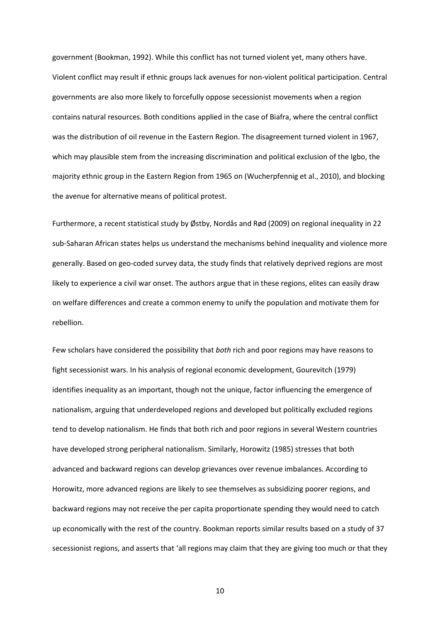government (Bookman, 1992). While this conflict has not turned violent yet, many others have. Violent conflict may result if ethnic groups lack avenues for non-violent political participation. Central governments are also more likely to forcefully oppose secessionist movements when a region contains natural resources. Both conditions applied in the case of Biafra, where the central conflict was the distribution of oil revenue in the Eastern Region. The disagreement turned violent in 1967, which may plausible stem from the increasing discrimination and political exclusion of the Igbo, the majority ethnic group in the Eastern Region from 1965 on (Wucherpfennig et al., 2010), and blocking the avenue for alternative means of political protest.

Furthermore, a recent statistical study by Østby, Nordås and Rød (2009) on regional inequality in 22 sub-Saharan African states helps us understand the mechanisms behind inequality and violence more generally. Based on geo-coded survey data, the study finds that relatively deprived regions are most likely to experience a civil war onset. The authors argue that in these regions, elites can easily draw on welfare differences and create a common enemy to unify the population and motivate them for rebellion.

Few scholars have considered the possibility that *both* rich and poor regions may have reasons to fight secessionist wars. In his analysis of regional economic development, Gourevitch (1979) identifies inequality as an important, though not the unique, factor influencing the emergence of nationalism, arguing that underdeveloped regions and developed but politically excluded regions tend to develop nationalism. He finds that both rich and poor regions in several Western countries have developed strong peripheral nationalism. Similarly, Horowitz (1985) stresses that both advanced and backward regions can develop grievances over revenue imbalances. According to Horowitz, more advanced regions are likely to see themselves as subsidizing poorer regions, and backward regions may not receive the per capita proportionate spending they would need to catch up economically with the rest of the country. Bookman reports similar results based on a study of 37 secessionist regions, and asserts that 'all regions may claim that they are giving too much or that they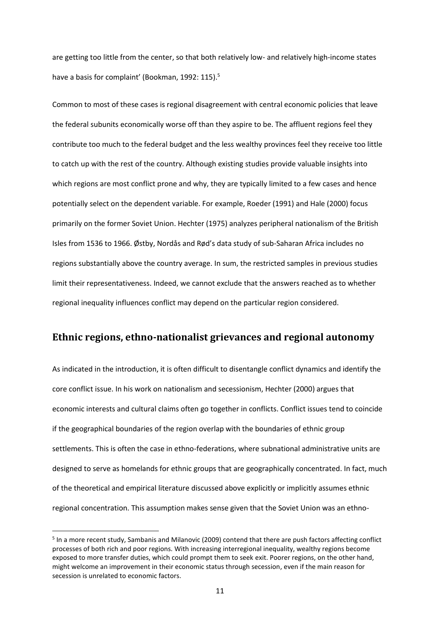are getting too little from the center, so that both relatively low- and relatively high-income states have a basis for complaint' (Bookman, 1992: 115).<sup>5</sup>

Common to most of these cases is regional disagreement with central economic policies that leave the federal subunits economically worse off than they aspire to be. The affluent regions feel they contribute too much to the federal budget and the less wealthy provinces feel they receive too little to catch up with the rest of the country. Although existing studies provide valuable insights into which regions are most conflict prone and why, they are typically limited to a few cases and hence potentially select on the dependent variable. For example, Roeder (1991) and Hale (2000) focus primarily on the former Soviet Union. Hechter (1975) analyzes peripheral nationalism of the British Isles from 1536 to 1966. Østby, Nordås and Rød's data study of sub-Saharan Africa includes no regions substantially above the country average. In sum, the restricted samples in previous studies limit their representativeness. Indeed, we cannot exclude that the answers reached as to whether regional inequality influences conflict may depend on the particular region considered.

## **Ethnic regions, ethno-nationalist grievances and regional autonomy**

As indicated in the introduction, it is often difficult to disentangle conflict dynamics and identify the core conflict issue. In his work on nationalism and secessionism, Hechter (2000) argues that economic interests and cultural claims often go together in conflicts. Conflict issues tend to coincide if the geographical boundaries of the region overlap with the boundaries of ethnic group settlements. This is often the case in ethno-federations, where subnational administrative units are designed to serve as homelands for ethnic groups that are geographically concentrated. In fact, much of the theoretical and empirical literature discussed above explicitly or implicitly assumes ethnic regional concentration. This assumption makes sense given that the Soviet Union was an ethno-

**.** 

<sup>&</sup>lt;sup>5</sup> In a more recent study, Sambanis and Milanovic (2009) contend that there are push factors affecting conflict processes of both rich and poor regions. With increasing interregional inequality, wealthy regions become exposed to more transfer duties, which could prompt them to seek exit. Poorer regions, on the other hand, might welcome an improvement in their economic status through secession, even if the main reason for secession is unrelated to economic factors.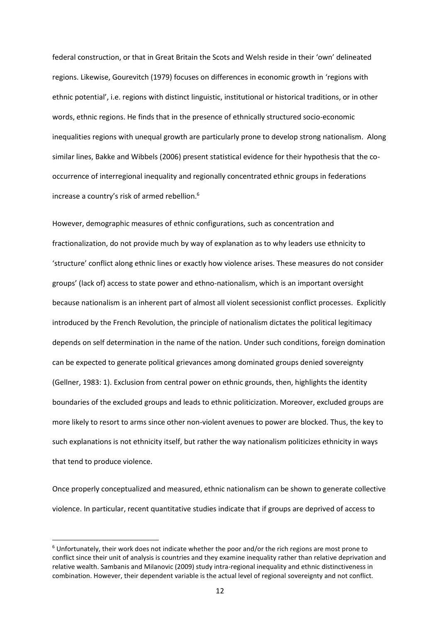federal construction, or that in Great Britain the Scots and Welsh reside in their 'own' delineated regions. Likewise, Gourevitch (1979) focuses on differences in economic growth in 'regions with ethnic potential', i.e. regions with distinct linguistic, institutional or historical traditions, or in other words, ethnic regions. He finds that in the presence of ethnically structured socio-economic inequalities regions with unequal growth are particularly prone to develop strong nationalism. Along similar lines, Bakke and Wibbels (2006) present statistical evidence for their hypothesis that the cooccurrence of interregional inequality and regionally concentrated ethnic groups in federations increase a country's risk of armed rebellion.<sup>6</sup>

However, demographic measures of ethnic configurations, such as concentration and fractionalization, do not provide much by way of explanation as to why leaders use ethnicity to 'structure' conflict along ethnic lines or exactly how violence arises. These measures do not consider groups' (lack of) access to state power and ethno-nationalism, which is an important oversight because nationalism is an inherent part of almost all violent secessionist conflict processes. Explicitly introduced by the French Revolution, the principle of nationalism dictates the political legitimacy depends on self determination in the name of the nation. Under such conditions, foreign domination can be expected to generate political grievances among dominated groups denied sovereignty (Gellner, 1983: 1). Exclusion from central power on ethnic grounds, then, highlights the identity boundaries of the excluded groups and leads to ethnic politicization. Moreover, excluded groups are more likely to resort to arms since other non-violent avenues to power are blocked. Thus, the key to such explanations is not ethnicity itself, but rather the way nationalism politicizes ethnicity in ways that tend to produce violence.

Once properly conceptualized and measured, ethnic nationalism can be shown to generate collective violence. In particular, recent quantitative studies indicate that if groups are deprived of access to

**.** 

<sup>6</sup> Unfortunately, their work does not indicate whether the poor and/or the rich regions are most prone to conflict since their unit of analysis is countries and they examine inequality rather than relative deprivation and relative wealth. Sambanis and Milanovic (2009) study intra-regional inequality and ethnic distinctiveness in combination. However, their dependent variable is the actual level of regional sovereignty and not conflict.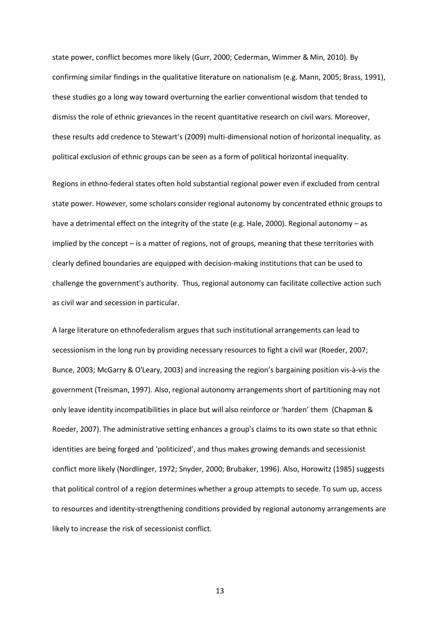state power, conflict becomes more likely (Gurr, 2000; Cederman, Wimmer & Min, 2010). By confirming similar findings in the qualitative literature on nationalism (e.g. Mann, 2005; Brass, 1991), these studies go a long way toward overturning the earlier conventional wisdom that tended to dismiss the role of ethnic grievances in the recent quantitative research on civil wars. Moreover, these results add credence to Stewart's (2009) multi-dimensional notion of horizontal inequality, as political exclusion of ethnic groups can be seen as a form of political horizontal inequality.

Regions in ethno-federal states often hold substantial regional power even if excluded from central state power. However, some scholars consider regional autonomy by concentrated ethnic groups to have a detrimental effect on the integrity of the state (e.g. Hale, 2000). Regional autonomy – as implied by the concept – is a matter of regions, not of groups, meaning that these territories with clearly defined boundaries are equipped with decision-making institutions that can be used to challenge the government's authority. Thus, regional autonomy can facilitate collective action such as civil war and secession in particular.

A large literature on ethnofederalism argues that such institutional arrangements can lead to secessionism in the long run by providing necessary resources to fight a civil war (Roeder, 2007; Bunce, 2003; McGarry & O'Leary, 2003) and increasing the region's bargaining position vis-à-vis the government (Treisman, 1997). Also, regional autonomy arrangements short of partitioning may not only leave identity incompatibilities in place but will also reinforce or 'harden' them (Chapman & Roeder, 2007). The administrative setting enhances a group's claims to its own state so that ethnic identities are being forged and 'politicized', and thus makes growing demands and secessionist conflict more likely (Nordlinger, 1972; Snyder, 2000; Brubaker, 1996). Also, Horowitz (1985) suggests that political control of a region determines whether a group attempts to secede. To sum up, access to resources and identity-strengthening conditions provided by regional autonomy arrangements are likely to increase the risk of secessionist conflict.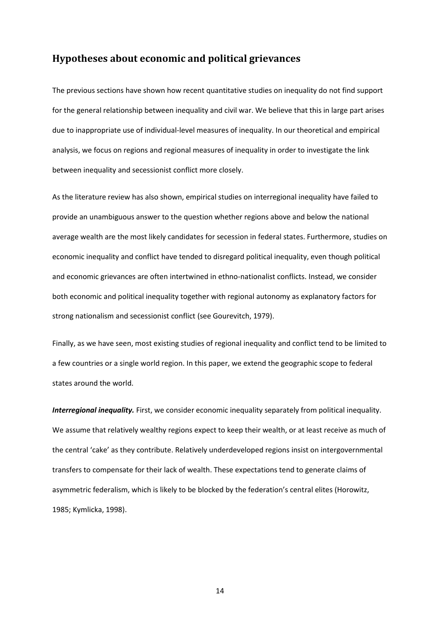## **Hypotheses about economic and political grievances**

The previous sections have shown how recent quantitative studies on inequality do not find support for the general relationship between inequality and civil war. We believe that this in large part arises due to inappropriate use of individual-level measures of inequality. In our theoretical and empirical analysis, we focus on regions and regional measures of inequality in order to investigate the link between inequality and secessionist conflict more closely.

As the literature review has also shown, empirical studies on interregional inequality have failed to provide an unambiguous answer to the question whether regions above and below the national average wealth are the most likely candidates for secession in federal states. Furthermore, studies on economic inequality and conflict have tended to disregard political inequality, even though political and economic grievances are often intertwined in ethno-nationalist conflicts. Instead, we consider both economic and political inequality together with regional autonomy as explanatory factors for strong nationalism and secessionist conflict (see Gourevitch, 1979).

Finally, as we have seen, most existing studies of regional inequality and conflict tend to be limited to a few countries or a single world region. In this paper, we extend the geographic scope to federal states around the world.

*Interregional inequality.* First, we consider economic inequality separately from political inequality. We assume that relatively wealthy regions expect to keep their wealth, or at least receive as much of the central 'cake' as they contribute. Relatively underdeveloped regions insist on intergovernmental transfers to compensate for their lack of wealth. These expectations tend to generate claims of asymmetric federalism, which is likely to be blocked by the federation's central elites (Horowitz, 1985; Kymlicka, 1998).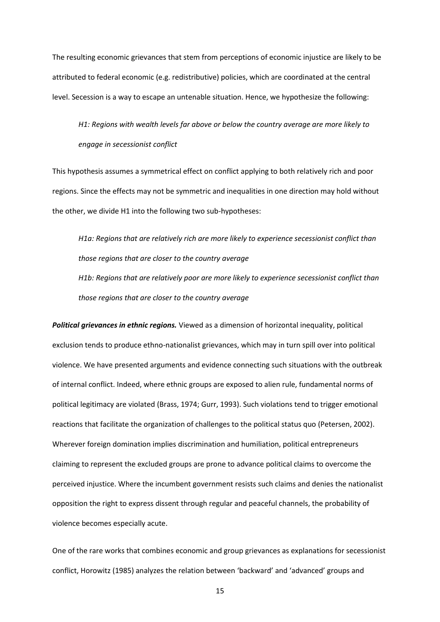The resulting economic grievances that stem from perceptions of economic injustice are likely to be attributed to federal economic (e.g. redistributive) policies, which are coordinated at the central level. Secession is a way to escape an untenable situation. Hence, we hypothesize the following:

*H1: Regions with wealth levels far above or below the country average are more likely to engage in secessionist conflict*

This hypothesis assumes a symmetrical effect on conflict applying to both relatively rich and poor regions. Since the effects may not be symmetric and inequalities in one direction may hold without the other, we divide H1 into the following two sub-hypotheses:

*H1a: Regions that are relatively rich are more likely to experience secessionist conflict than those regions that are closer to the country average H1b: Regions that are relatively poor are more likely to experience secessionist conflict than those regions that are closer to the country average*

*Political grievances in ethnic regions.* Viewed as a dimension of horizontal inequality, political exclusion tends to produce ethno-nationalist grievances, which may in turn spill over into political violence. We have presented arguments and evidence connecting such situations with the outbreak of internal conflict. Indeed, where ethnic groups are exposed to alien rule, fundamental norms of political legitimacy are violated (Brass, 1974; Gurr, 1993). Such violations tend to trigger emotional reactions that facilitate the organization of challenges to the political status quo (Petersen, 2002). Wherever foreign domination implies discrimination and humiliation, political entrepreneurs claiming to represent the excluded groups are prone to advance political claims to overcome the perceived injustice. Where the incumbent government resists such claims and denies the nationalist opposition the right to express dissent through regular and peaceful channels, the probability of violence becomes especially acute.

One of the rare works that combines economic and group grievances as explanations for secessionist conflict, Horowitz (1985) analyzes the relation between 'backward' and 'advanced' groups and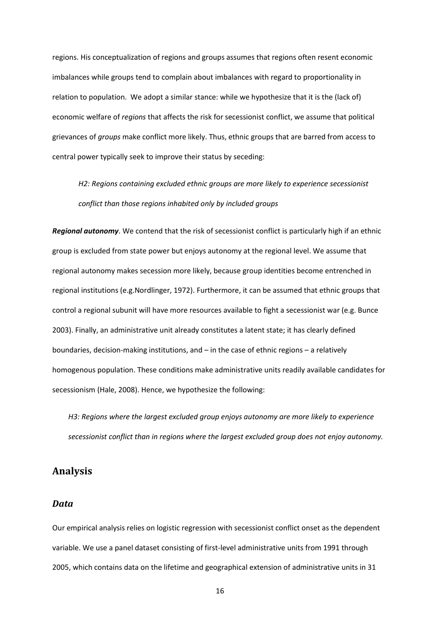regions. His conceptualization of regions and groups assumes that regions often resent economic imbalances while groups tend to complain about imbalances with regard to proportionality in relation to population. We adopt a similar stance: while we hypothesize that it is the (lack of) economic welfare of *regions* that affects the risk for secessionist conflict, we assume that political grievances of *groups* make conflict more likely. Thus, ethnic groups that are barred from access to central power typically seek to improve their status by seceding:

*H2: Regions containing excluded ethnic groups are more likely to experience secessionist conflict than those regions inhabited only by included groups*

*Regional autonomy*. We contend that the risk of secessionist conflict is particularly high if an ethnic group is excluded from state power but enjoys autonomy at the regional level. We assume that regional autonomy makes secession more likely, because group identities become entrenched in regional institutions (e.g.Nordlinger, 1972). Furthermore, it can be assumed that ethnic groups that control a regional subunit will have more resources available to fight a secessionist war (e.g. Bunce 2003). Finally, an administrative unit already constitutes a latent state; it has clearly defined boundaries, decision-making institutions, and – in the case of ethnic regions – a relatively homogenous population. These conditions make administrative units readily available candidates for secessionism (Hale, 2008). Hence, we hypothesize the following:

*H3: Regions where the largest excluded group enjoys autonomy are more likely to experience secessionist conflict than in regions where the largest excluded group does not enjoy autonomy.*

### **Analysis**

#### *Data*

Our empirical analysis relies on logistic regression with secessionist conflict onset as the dependent variable. We use a panel dataset consisting of first-level administrative units from 1991 through 2005, which contains data on the lifetime and geographical extension of administrative units in 31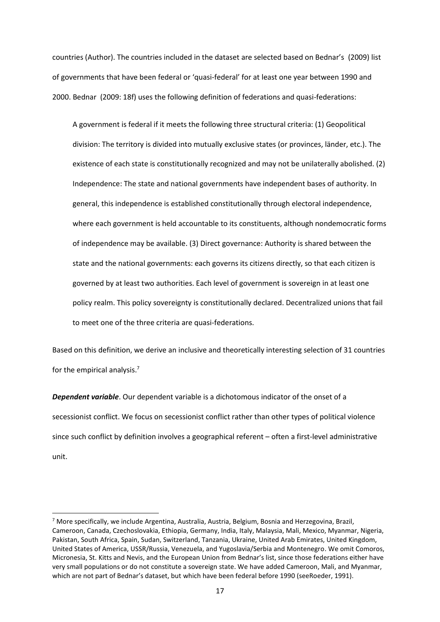countries (Author). The countries included in the dataset are selected based on Bednar's (2009) list of governments that have been federal or 'quasi-federal' for at least one year between 1990 and 2000. Bednar (2009: 18f) uses the following definition of federations and quasi-federations:

A government is federal if it meets the following three structural criteria: (1) Geopolitical division: The territory is divided into mutually exclusive states (or provinces, länder, etc.). The existence of each state is constitutionally recognized and may not be unilaterally abolished. (2) Independence: The state and national governments have independent bases of authority. In general, this independence is established constitutionally through electoral independence, where each government is held accountable to its constituents, although nondemocratic forms of independence may be available. (3) Direct governance: Authority is shared between the state and the national governments: each governs its citizens directly, so that each citizen is governed by at least two authorities. Each level of government is sovereign in at least one policy realm. This policy sovereignty is constitutionally declared. Decentralized unions that fail to meet one of the three criteria are quasi-federations.

Based on this definition, we derive an inclusive and theoretically interesting selection of 31 countries for the empirical analysis.<sup>7</sup>

*Dependent variable*. Our dependent variable is a dichotomous indicator of the onset of a secessionist conflict. We focus on secessionist conflict rather than other types of political violence since such conflict by definition involves a geographical referent – often a first-level administrative unit.

 $\overline{a}$ 

 $^7$  More specifically, we include Argentina, Australia, Austria, Belgium, Bosnia and Herzegovina, Brazil, Cameroon, Canada, Czechoslovakia, Ethiopia, Germany, India, Italy, Malaysia, Mali, Mexico, Myanmar, Nigeria, Pakistan, South Africa, Spain, Sudan, Switzerland, Tanzania, Ukraine, United Arab Emirates, United Kingdom, United States of America, USSR/Russia, Venezuela, and Yugoslavia/Serbia and Montenegro. We omit Comoros, Micronesia, St. Kitts and Nevis, and the European Union from Bednar's list, since those federations either have very small populations or do not constitute a sovereign state. We have added Cameroon, Mali, and Myanmar, which are not part of Bednar's dataset, but which have been federal before 1990 (seeRoeder, 1991).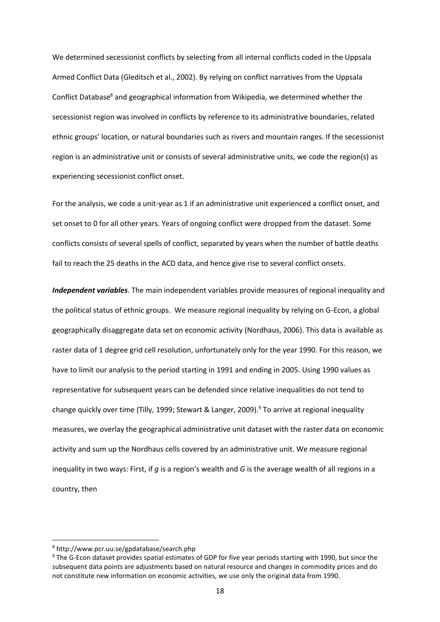We determined secessionist conflicts by selecting from all internal conflicts coded in the Uppsala Armed Conflict Data (Gleditsch et al., 2002). By relying on conflict narratives from the Uppsala Conflict Database<sup>8</sup> and geographical information from Wikipedia, we determined whether the secessionist region was involved in conflicts by reference to its administrative boundaries, related ethnic groups' location, or natural boundaries such as rivers and mountain ranges. If the secessionist region is an administrative unit or consists of several administrative units, we code the region(s) as experiencing secessionist conflict onset.

For the analysis, we code a unit-year as 1 if an administrative unit experienced a conflict onset, and set onset to 0 for all other years. Years of ongoing conflict were dropped from the dataset. Some conflicts consists of several spells of conflict, separated by years when the number of battle deaths fail to reach the 25 deaths in the ACD data, and hence give rise to several conflict onsets.

*Independent variables*. The main independent variables provide measures of regional inequality and the political status of ethnic groups. We measure regional inequality by relying on G-Econ, a global geographically disaggregate data set on economic activity (Nordhaus, 2006). This data is available as raster data of 1 degree grid cell resolution, unfortunately only for the year 1990. For this reason, we have to limit our analysis to the period starting in 1991 and ending in 2005. Using 1990 values as representative for subsequent years can be defended since relative inequalities do not tend to change quickly over time (Tilly, 1999; Stewart & Langer, 2009). <sup>9</sup> To arrive at regional inequality measures, we overlay the geographical administrative unit dataset with the raster data on economic activity and sum up the Nordhaus cells covered by an administrative unit. We measure regional inequality in two ways: First, if *g* is a region's wealth and *G* is the average wealth of all regions in a country, then

**.** 

<sup>8</sup> http://www.pcr.uu.se/gpdatabase/search.php

<sup>9</sup> The G-Econ dataset provides spatial estimates of GDP for five year periods starting with 1990, but since the subsequent data points are adjustments based on natural resource and changes in commodity prices and do not constitute new information on economic activities, we use only the original data from 1990.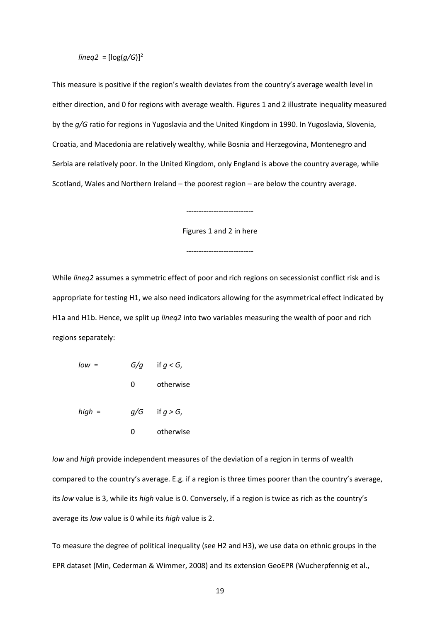#### *lineq2* =  $[log(q/G)]^2$

This measure is positive if the region's wealth deviates from the country's average wealth level in either direction, and 0 for regions with average wealth. Figures 1 and 2 illustrate inequality measured by the *g/G* ratio for regions in Yugoslavia and the United Kingdom in 1990. In Yugoslavia, Slovenia, Croatia, and Macedonia are relatively wealthy, while Bosnia and Herzegovina, Montenegro and Serbia are relatively poor. In the United Kingdom, only England is above the country average, while Scotland, Wales and Northern Ireland – the poorest region – are below the country average.

Figures 1 and 2 in here

---------------------------

---------------------------

While *lineq2* assumes a symmetric effect of poor and rich regions on secessionist conflict risk and is appropriate for testing H1, we also need indicators allowing for the asymmetrical effect indicated by H1a and H1b. Hence, we split up *lineq2* into two variables measuring the wealth of poor and rich regions separately:

| $low =$  | if $g < G$ ,<br>G/q |                    |
|----------|---------------------|--------------------|
|          | 0                   | otherwise          |
| $high =$ |                     | $q/G$ if $q > G$ , |
|          | O                   | otherwise          |

*low* and *high* provide independent measures of the deviation of a region in terms of wealth compared to the country's average. E.g. if a region is three times poorer than the country's average, its *low* value is 3, while its *high* value is 0. Conversely, if a region is twice as rich as the country's average its *low* value is 0 while its *high* value is 2.

To measure the degree of political inequality (see H2 and H3), we use data on ethnic groups in the EPR dataset (Min, Cederman & Wimmer, 2008) and its extension GeoEPR (Wucherpfennig et al.,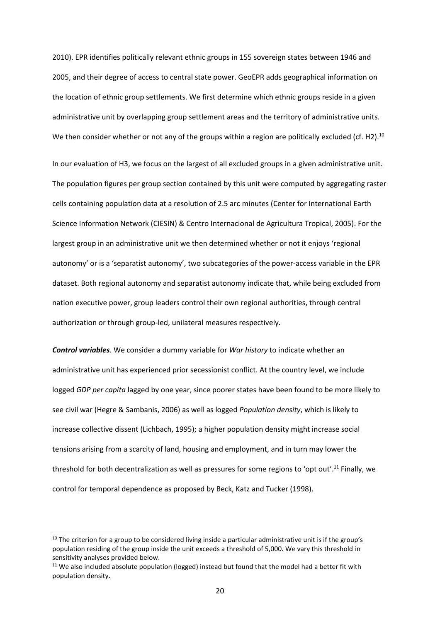2010). EPR identifies politically relevant ethnic groups in 155 sovereign states between 1946 and 2005, and their degree of access to central state power. GeoEPR adds geographical information on the location of ethnic group settlements. We first determine which ethnic groups reside in a given administrative unit by overlapping group settlement areas and the territory of administrative units. We then consider whether or not any of the groups within a region are politically excluded (cf. H2).<sup>10</sup>

In our evaluation of H3, we focus on the largest of all excluded groups in a given administrative unit. The population figures per group section contained by this unit were computed by aggregating raster cells containing population data at a resolution of 2.5 arc minutes (Center for International Earth Science Information Network (CIESIN) & Centro Internacional de Agricultura Tropical, 2005). For the largest group in an administrative unit we then determined whether or not it enjoys 'regional autonomy' or is a 'separatist autonomy', two subcategories of the power-access variable in the EPR dataset. Both regional autonomy and separatist autonomy indicate that, while being excluded from nation executive power, group leaders control their own regional authorities, through central authorization or through group-led, unilateral measures respectively.

*Control variables.* We consider a dummy variable for *War history* to indicate whether an administrative unit has experienced prior secessionist conflict. At the country level, we include logged *GDP per capita* lagged by one year, since poorer states have been found to be more likely to see civil war (Hegre & Sambanis, 2006) as well as logged *Population density*, which is likely to increase collective dissent (Lichbach, 1995); a higher population density might increase social tensions arising from a scarcity of land, housing and employment, and in turn may lower the threshold for both decentralization as well as pressures for some regions to 'opt out'. <sup>11</sup> Finally, we control for temporal dependence as proposed by Beck, Katz and Tucker (1998).

**.** 

 $10$  The criterion for a group to be considered living inside a particular administrative unit is if the group's population residing of the group inside the unit exceeds a threshold of 5,000. We vary this threshold in sensitivity analyses provided below.

 $11$  We also included absolute population (logged) instead but found that the model had a better fit with population density.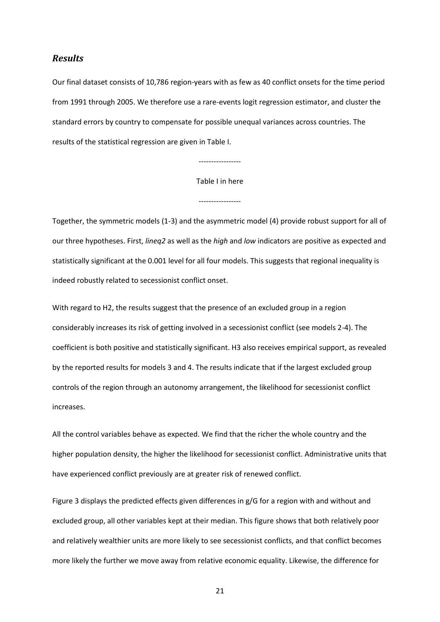#### *Results*

Our final dataset consists of 10,786 region-years with as few as 40 conflict onsets for the time period from 1991 through 2005. We therefore use a rare-events logit regression estimator, and cluster the standard errors by country to compensate for possible unequal variances across countries. The results of the statistical regression are given in Table I.

#### Table I in here

-----------------

-----------------

Together, the symmetric models (1-3) and the asymmetric model (4) provide robust support for all of our three hypotheses. First, *lineq2* as well as the *high* and *low* indicators are positive as expected and statistically significant at the 0.001 level for all four models. This suggests that regional inequality is indeed robustly related to secessionist conflict onset.

With regard to H2, the results suggest that the presence of an excluded group in a region considerably increases its risk of getting involved in a secessionist conflict (see models 2-4). The coefficient is both positive and statistically significant. H3 also receives empirical support, as revealed by the reported results for models 3 and 4. The results indicate that if the largest excluded group controls of the region through an autonomy arrangement, the likelihood for secessionist conflict increases.

All the control variables behave as expected. We find that the richer the whole country and the higher population density, the higher the likelihood for secessionist conflict. Administrative units that have experienced conflict previously are at greater risk of renewed conflict.

Figure 3 displays the predicted effects given differences in g/G for a region with and without and excluded group, all other variables kept at their median. This figure shows that both relatively poor and relatively wealthier units are more likely to see secessionist conflicts, and that conflict becomes more likely the further we move away from relative economic equality. Likewise, the difference for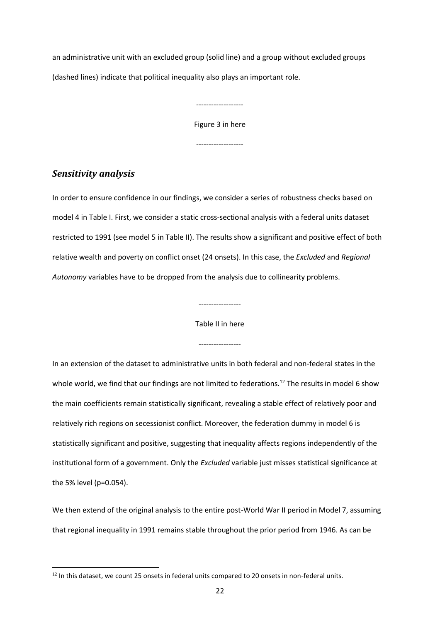an administrative unit with an excluded group (solid line) and a group without excluded groups (dashed lines) indicate that political inequality also plays an important role.

> Figure 3 in here -------------------

-------------------

## *Sensitivity analysis*

**.** 

In order to ensure confidence in our findings, we consider a series of robustness checks based on model 4 in Table I. First, we consider a static cross-sectional analysis with a federal units dataset restricted to 1991 (see model 5 in Table II). The results show a significant and positive effect of both relative wealth and poverty on conflict onset (24 onsets). In this case, the *Excluded* and *Regional Autonomy* variables have to be dropped from the analysis due to collinearity problems.

-----------------

Table II in here

-----------------

In an extension of the dataset to administrative units in both federal and non-federal states in the whole world, we find that our findings are not limited to federations.<sup>12</sup> The results in model 6 show the main coefficients remain statistically significant, revealing a stable effect of relatively poor and relatively rich regions on secessionist conflict. Moreover, the federation dummy in model 6 is statistically significant and positive, suggesting that inequality affects regions independently of the institutional form of a government. Only the *Excluded* variable just misses statistical significance at the 5% level (p=0.054).

We then extend of the original analysis to the entire post-World War II period in Model 7, assuming that regional inequality in 1991 remains stable throughout the prior period from 1946. As can be

<sup>&</sup>lt;sup>12</sup> In this dataset, we count 25 onsets in federal units compared to 20 onsets in non-federal units.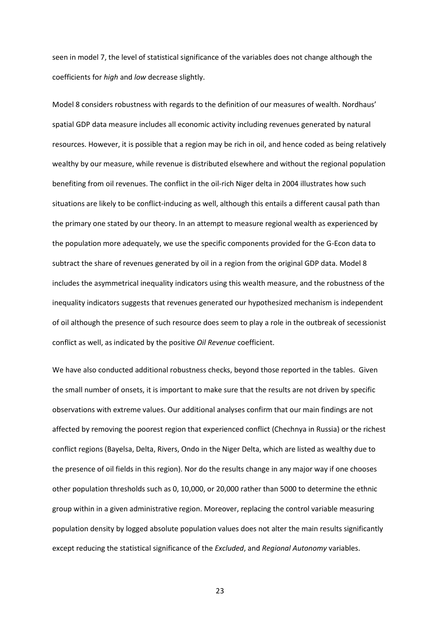seen in model 7, the level of statistical significance of the variables does not change although the coefficients for *high* and *low* decrease slightly.

Model 8 considers robustness with regards to the definition of our measures of wealth. Nordhaus' spatial GDP data measure includes all economic activity including revenues generated by natural resources. However, it is possible that a region may be rich in oil, and hence coded as being relatively wealthy by our measure, while revenue is distributed elsewhere and without the regional population benefiting from oil revenues. The conflict in the oil-rich Niger delta in 2004 illustrates how such situations are likely to be conflict-inducing as well, although this entails a different causal path than the primary one stated by our theory. In an attempt to measure regional wealth as experienced by the population more adequately, we use the specific components provided for the G-Econ data to subtract the share of revenues generated by oil in a region from the original GDP data. Model 8 includes the asymmetrical inequality indicators using this wealth measure, and the robustness of the inequality indicators suggests that revenues generated our hypothesized mechanism is independent of oil although the presence of such resource does seem to play a role in the outbreak of secessionist conflict as well, as indicated by the positive *Oil Revenue* coefficient.

We have also conducted additional robustness checks, beyond those reported in the tables. Given the small number of onsets, it is important to make sure that the results are not driven by specific observations with extreme values. Our additional analyses confirm that our main findings are not affected by removing the poorest region that experienced conflict (Chechnya in Russia) or the richest conflict regions (Bayelsa, Delta, Rivers, Ondo in the Niger Delta, which are listed as wealthy due to the presence of oil fields in this region). Nor do the results change in any major way if one chooses other population thresholds such as 0, 10,000, or 20,000 rather than 5000 to determine the ethnic group within in a given administrative region. Moreover, replacing the control variable measuring population density by logged absolute population values does not alter the main results significantly except reducing the statistical significance of the *Excluded*, and *Regional Autonomy* variables.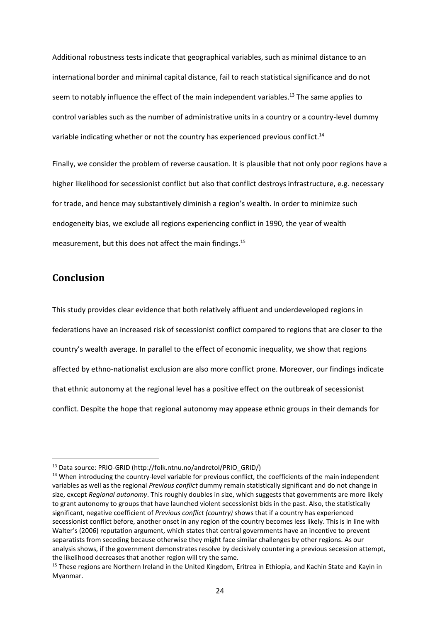Additional robustness tests indicate that geographical variables, such as minimal distance to an international border and minimal capital distance, fail to reach statistical significance and do not seem to notably influence the effect of the main independent variables.<sup>13</sup> The same applies to control variables such as the number of administrative units in a country or a country-level dummy variable indicating whether or not the country has experienced previous conflict.<sup>14</sup>

Finally, we consider the problem of reverse causation. It is plausible that not only poor regions have a higher likelihood for secessionist conflict but also that conflict destroys infrastructure, e.g. necessary for trade, and hence may substantively diminish a region's wealth. In order to minimize such endogeneity bias, we exclude all regions experiencing conflict in 1990, the year of wealth measurement, but this does not affect the main findings.<sup>15</sup>

## **Conclusion**

1

This study provides clear evidence that both relatively affluent and underdeveloped regions in federations have an increased risk of secessionist conflict compared to regions that are closer to the country's wealth average. In parallel to the effect of economic inequality, we show that regions affected by ethno-nationalist exclusion are also more conflict prone. Moreover, our findings indicate that ethnic autonomy at the regional level has a positive effect on the outbreak of secessionist conflict. Despite the hope that regional autonomy may appease ethnic groups in their demands for

<sup>13</sup> Data source: PRIO-GRID (http://folk.ntnu.no/andretol/PRIO\_GRID/)

<sup>&</sup>lt;sup>14</sup> When introducing the country-level variable for previous conflict, the coefficients of the main independent variables as well as the regional *Previous conflict* dummy remain statistically significant and do not change in size, except *Regional autonomy*. This roughly doubles in size, which suggests that governments are more likely to grant autonomy to groups that have launched violent secessionist bids in the past. Also, the statistically significant, negative coefficient of *Previous conflict (country)* shows that if a country has experienced secessionist conflict before, another onset in any region of the country becomes less likely. This is in line with Walter's (2006) reputation argument, which states that central governments have an incentive to prevent separatists from seceding because otherwise they might face similar challenges by other regions. As our analysis shows, if the government demonstrates resolve by decisively countering a previous secession attempt, the likelihood decreases that another region will try the same.

<sup>&</sup>lt;sup>15</sup> These regions are Northern Ireland in the United Kingdom, Eritrea in Ethiopia, and Kachin State and Kayin in Myanmar.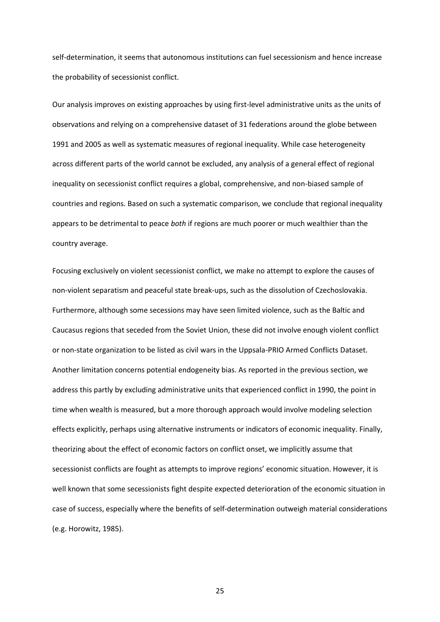self-determination, it seems that autonomous institutions can fuel secessionism and hence increase the probability of secessionist conflict.

Our analysis improves on existing approaches by using first-level administrative units as the units of observations and relying on a comprehensive dataset of 31 federations around the globe between 1991 and 2005 as well as systematic measures of regional inequality. While case heterogeneity across different parts of the world cannot be excluded, any analysis of a general effect of regional inequality on secessionist conflict requires a global, comprehensive, and non-biased sample of countries and regions. Based on such a systematic comparison, we conclude that regional inequality appears to be detrimental to peace *both* if regions are much poorer or much wealthier than the country average.

Focusing exclusively on violent secessionist conflict, we make no attempt to explore the causes of non-violent separatism and peaceful state break-ups, such as the dissolution of Czechoslovakia. Furthermore, although some secessions may have seen limited violence, such as the Baltic and Caucasus regions that seceded from the Soviet Union, these did not involve enough violent conflict or non-state organization to be listed as civil wars in the Uppsala-PRIO Armed Conflicts Dataset. Another limitation concerns potential endogeneity bias. As reported in the previous section, we address this partly by excluding administrative units that experienced conflict in 1990, the point in time when wealth is measured, but a more thorough approach would involve modeling selection effects explicitly, perhaps using alternative instruments or indicators of economic inequality. Finally, theorizing about the effect of economic factors on conflict onset, we implicitly assume that secessionist conflicts are fought as attempts to improve regions' economic situation. However, it is well known that some secessionists fight despite expected deterioration of the economic situation in case of success, especially where the benefits of self-determination outweigh material considerations (e.g. Horowitz, 1985).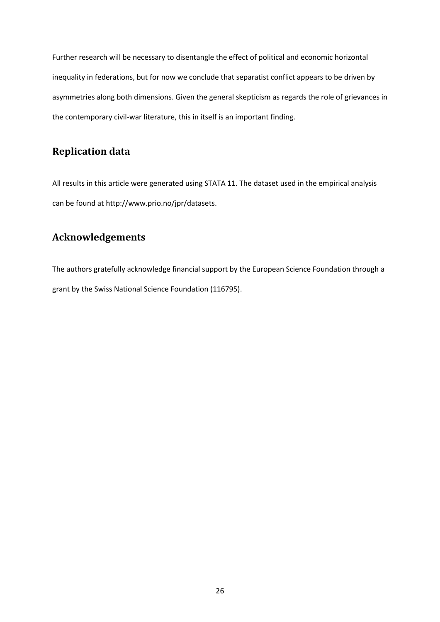Further research will be necessary to disentangle the effect of political and economic horizontal inequality in federations, but for now we conclude that separatist conflict appears to be driven by asymmetries along both dimensions. Given the general skepticism as regards the role of grievances in the contemporary civil-war literature, this in itself is an important finding.

## **Replication data**

All results in this article were generated using STATA 11. The dataset used in the empirical analysis can be found at [http://www.prio.no/jpr/datasets.](http://www.prio.no/jpr/datasets)

## **Acknowledgements**

The authors gratefully acknowledge financial support by the European Science Foundation through a grant by the Swiss National Science Foundation (116795).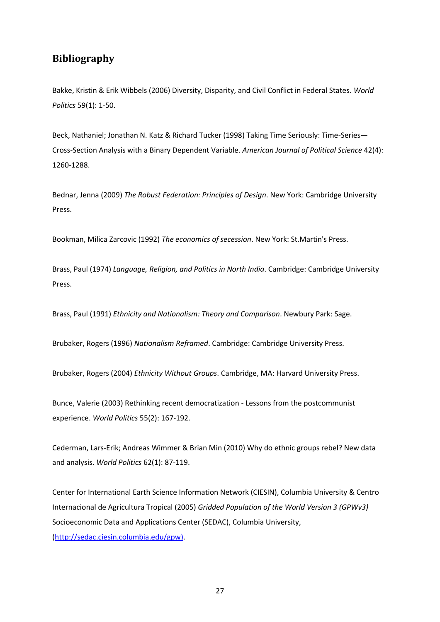## **Bibliography**

Bakke, Kristin & Erik Wibbels (2006) Diversity, Disparity, and Civil Conflict in Federal States. *World Politics* 59(1): 1-50.

Beck, Nathaniel; Jonathan N. Katz & Richard Tucker (1998) Taking Time Seriously: Time-Series— Cross-Section Analysis with a Binary Dependent Variable. *American Journal of Political Science* 42(4): 1260-1288.

Bednar, Jenna (2009) *The Robust Federation: Principles of Design*. New York: Cambridge University Press.

Bookman, Milica Zarcovic (1992) *The economics of secession*. New York: St.Martin's Press.

Brass, Paul (1974) *Language, Religion, and Politics in North India*. Cambridge: Cambridge University Press.

Brass, Paul (1991) *Ethnicity and Nationalism: Theory and Comparison*. Newbury Park: Sage.

Brubaker, Rogers (1996) *Nationalism Reframed*. Cambridge: Cambridge University Press.

Brubaker, Rogers (2004) *Ethnicity Without Groups*. Cambridge, MA: Harvard University Press.

Bunce, Valerie (2003) Rethinking recent democratization - Lessons from the postcommunist experience. *World Politics* 55(2): 167-192.

Cederman, Lars-Erik; Andreas Wimmer & Brian Min (2010) Why do ethnic groups rebel? New data and analysis. *World Politics* 62(1): 87-119.

Center for International Earth Science Information Network (CIESIN), Columbia University & Centro Internacional de Agricultura Tropical (2005) *Gridded Population of the World Version 3 (GPWv3)* Socioeconomic Data and Applications Center (SEDAC), Columbia University, [\(http://sedac.ciesin.columbia.edu/gpw\).](http://sedac.ciesin.columbia.edu/gpw))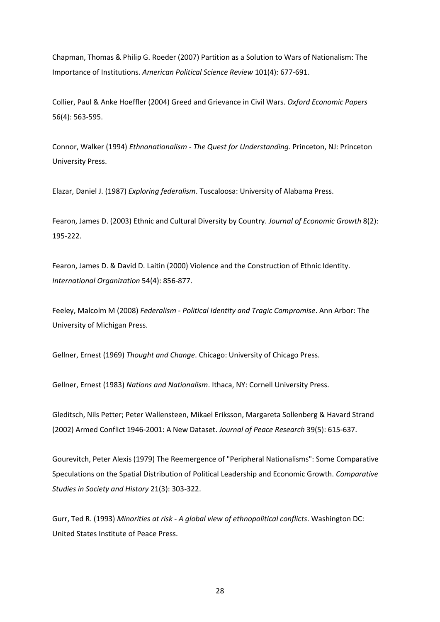Chapman, Thomas & Philip G. Roeder (2007) Partition as a Solution to Wars of Nationalism: The Importance of Institutions. *American Political Science Review* 101(4): 677-691.

Collier, Paul & Anke Hoeffler (2004) Greed and Grievance in Civil Wars. *Oxford Economic Papers* 56(4): 563-595.

Connor, Walker (1994) *Ethnonationalism - The Quest for Understanding*. Princeton, NJ: Princeton University Press.

Elazar, Daniel J. (1987) *Exploring federalism*. Tuscaloosa: University of Alabama Press.

Fearon, James D. (2003) Ethnic and Cultural Diversity by Country. *Journal of Economic Growth* 8(2): 195-222.

Fearon, James D. & David D. Laitin (2000) Violence and the Construction of Ethnic Identity. *International Organization* 54(4): 856-877.

Feeley, Malcolm M (2008) *Federalism - Political Identity and Tragic Compromise*. Ann Arbor: The University of Michigan Press.

Gellner, Ernest (1969) *Thought and Change*. Chicago: University of Chicago Press.

Gellner, Ernest (1983) *Nations and Nationalism*. Ithaca, NY: Cornell University Press.

Gleditsch, Nils Petter; Peter Wallensteen, Mikael Eriksson, Margareta Sollenberg & Havard Strand (2002) Armed Conflict 1946-2001: A New Dataset. *Journal of Peace Research* 39(5): 615-637.

Gourevitch, Peter Alexis (1979) The Reemergence of "Peripheral Nationalisms": Some Comparative Speculations on the Spatial Distribution of Political Leadership and Economic Growth. *Comparative Studies in Society and History* 21(3): 303-322.

Gurr, Ted R. (1993) *Minorities at risk - A global view of ethnopolitical conflicts*. Washington DC: United States Institute of Peace Press.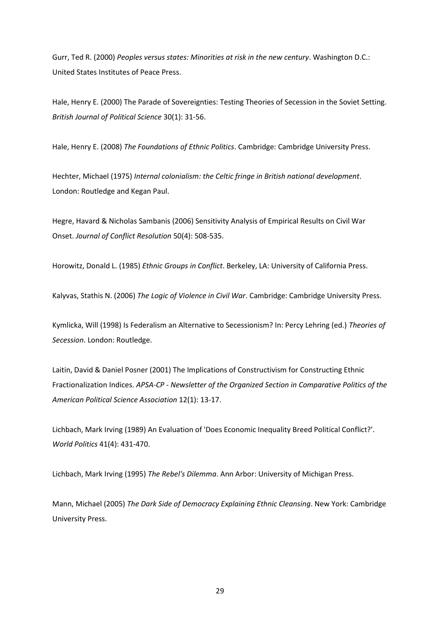Gurr, Ted R. (2000) *Peoples versus states: Minorities at risk in the new century*. Washington D.C.: United States Institutes of Peace Press.

Hale, Henry E. (2000) The Parade of Sovereignties: Testing Theories of Secession in the Soviet Setting. *British Journal of Political Science* 30(1): 31-56.

Hale, Henry E. (2008) *The Foundations of Ethnic Politics*. Cambridge: Cambridge University Press.

Hechter, Michael (1975) *Internal colonialism: the Celtic fringe in British national development*. London: Routledge and Kegan Paul.

Hegre, Havard & Nicholas Sambanis (2006) Sensitivity Analysis of Empirical Results on Civil War Onset. *Journal of Conflict Resolution* 50(4): 508-535.

Horowitz, Donald L. (1985) *Ethnic Groups in Conflict*. Berkeley, LA: University of California Press.

Kalyvas, Stathis N. (2006) *The Logic of Violence in Civil War*. Cambridge: Cambridge University Press.

Kymlicka, Will (1998) Is Federalism an Alternative to Secessionism? In: Percy Lehring (ed.) *Theories of Secession*. London: Routledge.

Laitin, David & Daniel Posner (2001) The Implications of Constructivism for Constructing Ethnic Fractionalization Indices. *APSA-CP - Newsletter of the Organized Section in Comparative Politics of the American Political Science Association* 12(1): 13-17.

Lichbach, Mark Irving (1989) An Evaluation of 'Does Economic Inequality Breed Political Conflict?'. *World Politics* 41(4): 431-470.

Lichbach, Mark Irving (1995) *The Rebel's Dilemma*. Ann Arbor: University of Michigan Press.

Mann, Michael (2005) *The Dark Side of Democracy Explaining Ethnic Cleansing*. New York: Cambridge University Press.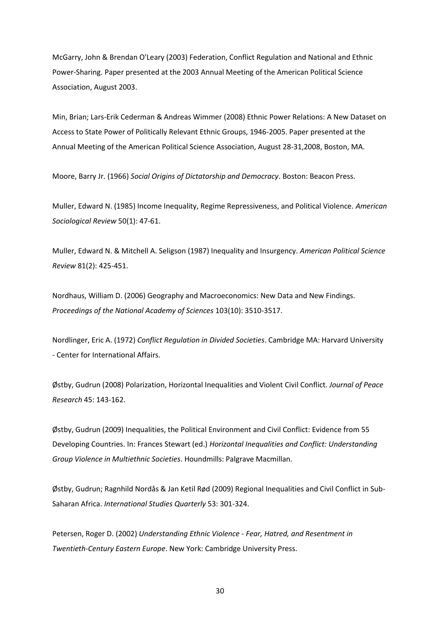McGarry, John & Brendan O'Leary (2003) Federation, Conflict Regulation and National and Ethnic Power-Sharing. Paper presented at the 2003 Annual Meeting of the American Political Science Association, August 2003.

Min, Brian; Lars-Erik Cederman & Andreas Wimmer (2008) Ethnic Power Relations: A New Dataset on Access to State Power of Politically Relevant Ethnic Groups, 1946-2005. Paper presented at the Annual Meeting of the American Political Science Association, August 28-31,2008, Boston, MA.

Moore, Barry Jr. (1966) *Social Origins of Dictatorship and Democracy*. Boston: Beacon Press.

Muller, Edward N. (1985) Income Inequality, Regime Repressiveness, and Political Violence. *American Sociological Review* 50(1): 47-61.

Muller, Edward N. & Mitchell A. Seligson (1987) Inequality and Insurgency. *American Political Science Review* 81(2): 425-451.

Nordhaus, William D. (2006) Geography and Macroeconomics: New Data and New Findings. *Proceedings of the National Academy of Sciences* 103(10): 3510-3517.

Nordlinger, Eric A. (1972) *Conflict Regulation in Divided Societies*. Cambridge MA: Harvard University - Center for International Affairs.

Østby, Gudrun (2008) Polarization, Horizontal Inequalities and Violent Civil Conflict. *Journal of Peace Research* 45: 143-162.

Østby, Gudrun (2009) Inequalities, the Political Environment and Civil Conflict: Evidence from 55 Developing Countries. In: Frances Stewart (ed.) *Horizontal Inequalities and Conflict: Understanding Group Violence in Multiethnic Societies*. Houndmills: Palgrave Macmillan.

Østby, Gudrun; Ragnhild Nordås & Jan Ketil Rød (2009) Regional Inequalities and Civil Conflict in Sub-Saharan Africa. *International Studies Quarterly* 53: 301-324.

Petersen, Roger D. (2002) *Understanding Ethnic Violence - Fear, Hatred, and Resentment in Twentieth-Century Eastern Europe*. New York: Cambridge University Press.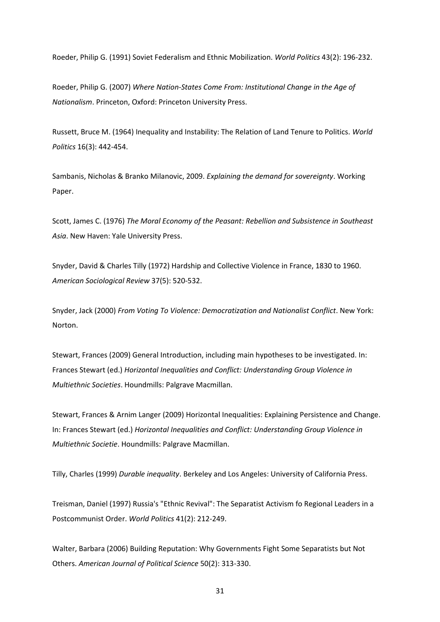Roeder, Philip G. (1991) Soviet Federalism and Ethnic Mobilization. *World Politics* 43(2): 196-232.

Roeder, Philip G. (2007) *Where Nation-States Come From: Institutional Change in the Age of Nationalism*. Princeton, Oxford: Princeton University Press.

Russett, Bruce M. (1964) Inequality and Instability: The Relation of Land Tenure to Politics. *World Politics* 16(3): 442-454.

Sambanis, Nicholas & Branko Milanovic, 2009. *Explaining the demand for sovereignty*. Working Paper.

Scott, James C. (1976) *The Moral Economy of the Peasant: Rebellion and Subsistence in Southeast Asia*. New Haven: Yale University Press.

Snyder, David & Charles Tilly (1972) Hardship and Collective Violence in France, 1830 to 1960. *American Sociological Review* 37(5): 520-532.

Snyder, Jack (2000) *From Voting To Violence: Democratization and Nationalist Conflict*. New York: Norton.

Stewart, Frances (2009) General Introduction, including main hypotheses to be investigated. In: Frances Stewart (ed.) *Horizontal Inequalities and Conflict: Understanding Group Violence in Multiethnic Societies*. Houndmills: Palgrave Macmillan.

Stewart, Frances & Arnim Langer (2009) Horizontal Inequalities: Explaining Persistence and Change. In: Frances Stewart (ed.) *Horizontal Inequalities and Conflict: Understanding Group Violence in Multiethnic Societie*. Houndmills: Palgrave Macmillan.

Tilly, Charles (1999) *Durable inequality*. Berkeley and Los Angeles: University of California Press.

Treisman, Daniel (1997) Russia's "Ethnic Revival": The Separatist Activism fo Regional Leaders in a Postcommunist Order. *World Politics* 41(2): 212-249.

Walter, Barbara (2006) Building Reputation: Why Governments Fight Some Separatists but Not Others. *American Journal of Political Science* 50(2): 313-330.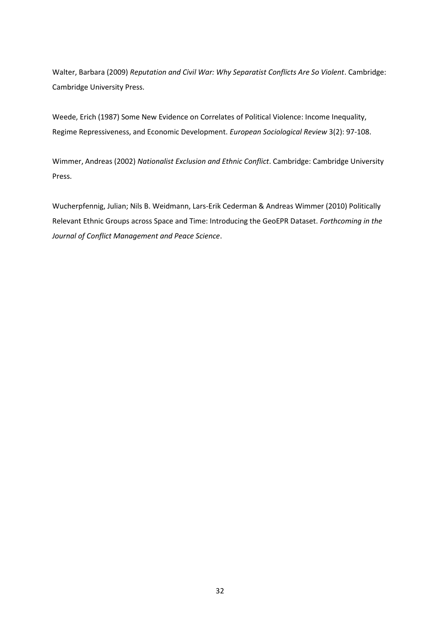Walter, Barbara (2009) *Reputation and Civil War: Why Separatist Conflicts Are So Violent*. Cambridge: Cambridge University Press.

Weede, Erich (1987) Some New Evidence on Correlates of Political Violence: Income Inequality, Regime Repressiveness, and Economic Development. *European Sociological Review* 3(2): 97-108.

Wimmer, Andreas (2002) *Nationalist Exclusion and Ethnic Conflict*. Cambridge: Cambridge University Press.

Wucherpfennig, Julian; Nils B. Weidmann, Lars-Erik Cederman & Andreas Wimmer (2010) Politically Relevant Ethnic Groups across Space and Time: Introducing the GeoEPR Dataset. *Forthcoming in the Journal of Conflict Management and Peace Science*.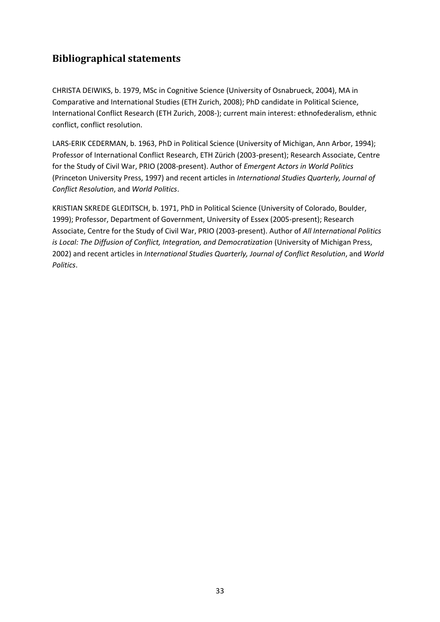## **Bibliographical statements**

CHRISTA DEIWIKS, b. 1979, MSc in Cognitive Science (University of Osnabrueck, 2004), MA in Comparative and International Studies (ETH Zurich, 2008); PhD candidate in Political Science, International Conflict Research (ETH Zurich, 2008-); current main interest: ethnofederalism, ethnic conflict, conflict resolution.

LARS-ERIK CEDERMAN, b. 1963, PhD in Political Science (University of Michigan, Ann Arbor, 1994); Professor of International Conflict Research, ETH Zürich (2003-present); Research Associate, Centre for the Study of Civil War, PRIO (2008-present). Author of *Emergent Actors in World Politics* (Princeton University Press, 1997) and recent articles in *International Studies Quarterly, Journal of Conflict Resolution*, and *World Politics*.

KRISTIAN SKREDE GLEDITSCH, b. 1971, PhD in Political Science (University of Colorado, Boulder, 1999); Professor, Department of Government, University of Essex (2005-present); Research Associate, Centre for the Study of Civil War, PRIO (2003-present). Author of *All International Politics is Local: The Diffusion of Conflict, Integration, and Democratization* (University of Michigan Press, 2002) and recent articles in *International Studies Quarterly, Journal of Conflict Resolution*, and *World Politics*.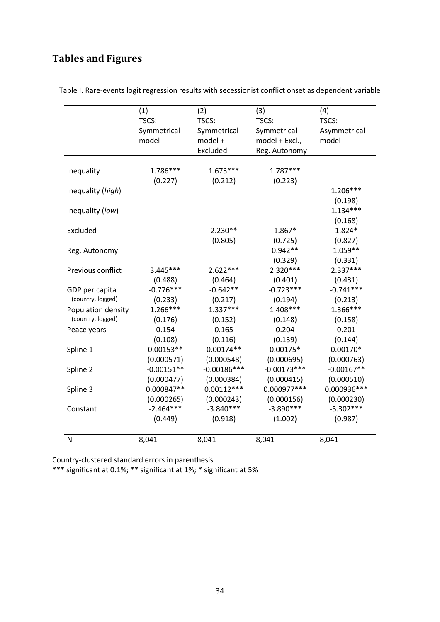# **Tables and Figures**

|                    | (1)          | (2)           | (3)            | (4)          |
|--------------------|--------------|---------------|----------------|--------------|
|                    | TSCS:        | TSCS:         | TSCS:          | TSCS:        |
|                    | Symmetrical  | Symmetrical   | Symmetrical    | Asymmetrical |
|                    | model        | model +       | model + Excl., | model        |
|                    |              | Excluded      | Reg. Autonomy  |              |
|                    |              |               |                |              |
| Inequality         | 1.786***     | $1.673***$    | $1.787***$     |              |
|                    | (0.227)      | (0.212)       | (0.223)        |              |
| Inequality (high)  |              |               |                | $1.206***$   |
|                    |              |               |                | (0.198)      |
| Inequality (low)   |              |               |                | $1.134***$   |
|                    |              |               |                | (0.168)      |
| Excluded           |              | $2.230**$     | 1.867*         | 1.824*       |
|                    |              | (0.805)       | (0.725)        | (0.827)      |
| Reg. Autonomy      |              |               | $0.942**$      | $1.059**$    |
|                    |              |               | (0.329)        | (0.331)      |
| Previous conflict  | $3.445***$   | $2.622***$    | $2.320***$     | $2.337***$   |
|                    | (0.488)      | (0.464)       | (0.401)        | (0.431)      |
| GDP per capita     | $-0.776***$  | $-0.642**$    | $-0.723***$    | $-0.741***$  |
| (country, logged)  | (0.233)      | (0.217)       | (0.194)        | (0.213)      |
| Population density | $1.266***$   | $1.337***$    | $1.408***$     | 1.366***     |
| (country, logged)  | (0.176)      | (0.152)       | (0.148)        | (0.158)      |
| Peace years        | 0.154        | 0.165         | 0.204          | 0.201        |
|                    | (0.108)      | (0.116)       | (0.139)        | (0.144)      |
| Spline 1           | $0.00153**$  | $0.00174**$   | $0.00175*$     | $0.00170*$   |
|                    | (0.000571)   | (0.000548)    | (0.000695)     | (0.000763)   |
| Spline 2           | $-0.00151**$ | $-0.00186***$ | $-0.00173***$  | $-0.00167**$ |
|                    | (0.000477)   | (0.000384)    | (0.000415)     | (0.000510)   |
| Spline 3           | 0.000847**   | $0.00112***$  | 0.000977 ***   | 0.000936 *** |
|                    | (0.000265)   | (0.000243)    | (0.000156)     | (0.000230)   |
| Constant           | $-2.464***$  | $-3.840***$   | $-3.890***$    | $-5.302***$  |
|                    | (0.449)      | (0.918)       | (1.002)        | (0.987)      |
|                    |              |               |                |              |
| ${\sf N}$          | 8,041        | 8,041         | 8,041          | 8,041        |

Table I. Rare-events logit regression results with secessionist conflict onset as dependent variable

Country-clustered standard errors in parenthesis

\*\*\* significant at 0.1%; \*\* significant at 1%; \* significant at 5%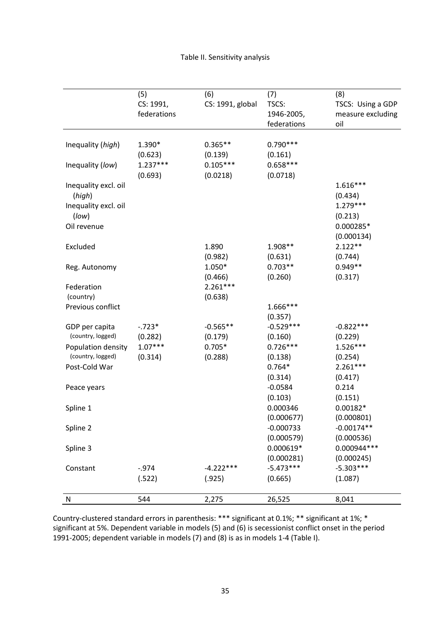|                      | (5)         | (6)              | (7)         | (8)               |
|----------------------|-------------|------------------|-------------|-------------------|
|                      | CS: 1991,   | CS: 1991, global | TSCS:       | TSCS: Using a GDP |
|                      | federations |                  | 1946-2005,  | measure excluding |
|                      |             |                  | federations | oil               |
|                      |             |                  |             |                   |
| Inequality (high)    | 1.390*      | $0.365**$        | $0.790***$  |                   |
|                      | (0.623)     | (0.139)          | (0.161)     |                   |
| Inequality (low)     | $1.237***$  | $0.105***$       | $0.658***$  |                   |
|                      | (0.693)     | (0.0218)         | (0.0718)    |                   |
| Inequality excl. oil |             |                  |             | $1.616***$        |
| (high)               |             |                  |             | (0.434)           |
| Inequality excl. oil |             |                  |             | $1.279***$        |
| (low)                |             |                  |             | (0.213)           |
| Oil revenue          |             |                  |             | 0.000285*         |
|                      |             |                  |             | (0.000134)        |
| Excluded             |             | 1.890            | 1.908**     | $2.122**$         |
|                      |             | (0.982)          | (0.631)     | (0.744)           |
| Reg. Autonomy        |             | 1.050*           | $0.703**$   | $0.949**$         |
|                      |             | (0.466)          | (0.260)     | (0.317)           |
| Federation           |             | $2.261***$       |             |                   |
| (country)            |             | (0.638)          |             |                   |
| Previous conflict    |             |                  | 1.666***    |                   |
|                      |             |                  | (0.357)     |                   |
| GDP per capita       | $-.723*$    | $-0.565**$       | $-0.529***$ | $-0.822***$       |
| (country, logged)    | (0.282)     | (0.179)          | (0.160)     | (0.229)           |
| Population density   | $1.07***$   | $0.705*$         | $0.726***$  | $1.526***$        |
| (country, logged)    | (0.314)     | (0.288)          | (0.138)     | (0.254)           |
| Post-Cold War        |             |                  | $0.764*$    | $2.261***$        |
|                      |             |                  | (0.314)     | (0.417)           |
| Peace years          |             |                  | $-0.0584$   | 0.214             |
|                      |             |                  | (0.103)     | (0.151)           |
| Spline 1             |             |                  | 0.000346    | $0.00182*$        |
|                      |             |                  | (0.000677)  | (0.000801)        |
| Spline 2             |             |                  | $-0.000733$ | $-0.00174**$      |
|                      |             |                  | (0.000579)  | (0.000536)        |
| Spline 3             |             |                  | $0.000619*$ | 0.000944 ***      |
|                      |             |                  | (0.000281)  | (0.000245)        |
| Constant             | $-0.974$    | $-4.222***$      | $-5.473***$ | $-5.303***$       |
|                      | (.522)      | (.925)           | (0.665)     | (1.087)           |
|                      |             |                  |             |                   |
| N                    | 544         | 2,275            | 26,525      | 8,041             |

Country-clustered standard errors in parenthesis: \*\*\* significant at 0.1%; \*\* significant at 1%; \* significant at 5%. Dependent variable in models (5) and (6) is secessionist conflict onset in the period 1991-2005; dependent variable in models (7) and (8) is as in models 1-4 (Table I).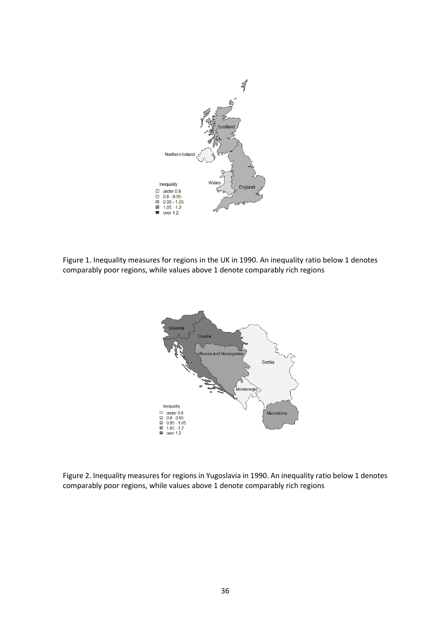

Figure 1. Inequality measures for regions in the UK in 1990. An inequality ratio below 1 denotes comparably poor regions, while values above 1 denote comparably rich regions



Figure 2. Inequality measures for regions in Yugoslavia in 1990. An inequality ratio below 1 denotes comparably poor regions, while values above 1 denote comparably rich regions